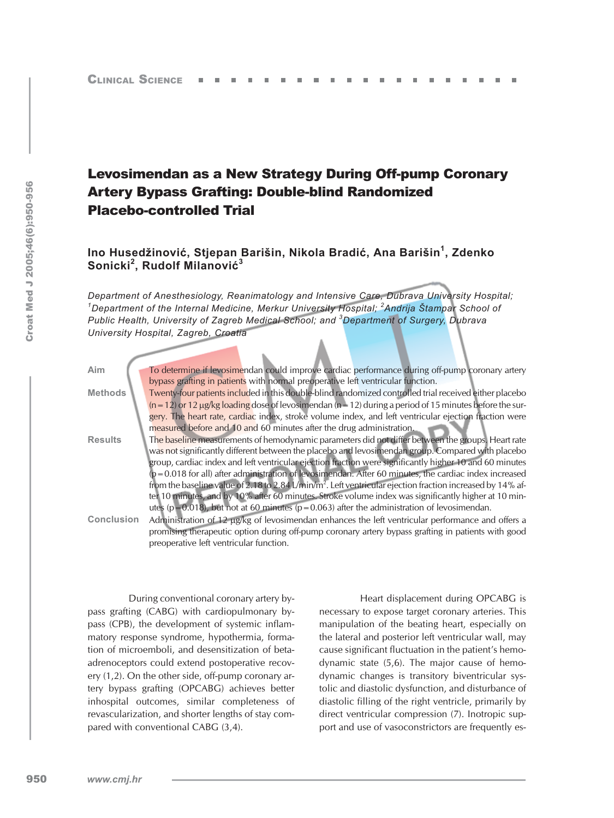# Levosimendan as a New Strategy During Off-pump Coronary Artery Bypass Grafting: Double-blind Randomized Placebo-controlled Trial

Ino Husedžinović, Stjepan Barišin, Nikola Bradić, Ana Barišin<sup>1</sup>, Zdenko **Sonicki<sup>2</sup> , Rudolf Milanoviæ<sup>3</sup>**

*Department of Anesthesiology, Reanimatology and Intensive Care, Dubrava University Hospital; 1 Department of the Internal Medicine, Merkur University Hospital; <sup>2</sup> Andrija Štampar School of Public Health, University of Zagreb Medical School; and <sup>3</sup> Department of Surgery, Dubrava University Hospital, Zagreb, Croatia*

| Aim               | To determine if levosimendan could improve cardiac performance during off-pump coronary artery<br>bypass grafting in patients with normal preoperative left ventricular function.                                                                                                                                                                                                                                                                                                                                                                                                                                                                                                                                                                                       |
|-------------------|-------------------------------------------------------------------------------------------------------------------------------------------------------------------------------------------------------------------------------------------------------------------------------------------------------------------------------------------------------------------------------------------------------------------------------------------------------------------------------------------------------------------------------------------------------------------------------------------------------------------------------------------------------------------------------------------------------------------------------------------------------------------------|
| <b>Methods</b>    | Twenty-four patients included in this double-blind randomized controlled trial received either placebo<br>$(n=12)$ or 12 $\mu$ g/kg loading dose of levosimendan $(n=12)$ during a period of 15 minutes before the sur-<br>gery. The heart rate, cardiac index, stroke volume index, and left ventricular ejection fraction were<br>measured before and 10 and 60 minutes after the drug administration.                                                                                                                                                                                                                                                                                                                                                                |
| <b>Results</b>    | The baseline measurements of hemodynamic parameters did not differ between the groups. Heart rate<br>was not significantly different between the placebo and levosimendan group. Compared with placebo<br>group, cardiac index and left ventricular ejection fraction were significantly higher 10 and 60 minutes<br>$(p=0.018$ for all) after administration of levosimendan. After 60 minutes, the cardiac index increased<br>from the baseline value of 2.18 to 2.84 L/min/m <sup>2</sup> . Left ventricular ejection fraction increased by 14% af-<br>ter 10 minutes, and by 10% after 60 minutes. Stroke volume index was significantly higher at 10 min-<br>utes ( $p = 0.018$ ), but not at 60 minutes ( $p = 0.063$ ) after the administration of levosimendan. |
| <b>Conclusion</b> | Administration of 12 $\mu$ g/kg of levosimendan enhances the left ventricular performance and offers a<br>promising therapeutic option during off-pump coronary artery bypass grafting in patients with good<br>preoperative left ventricular function.                                                                                                                                                                                                                                                                                                                                                                                                                                                                                                                 |

During conventional coronary artery bypass grafting (CABG) with cardiopulmonary bypass (CPB), the development of systemic inflammatory response syndrome, hypothermia, formation of microemboli, and desensitization of betaadrenoceptors could extend postoperative recovery (1,2). On the other side, off-pump coronary artery bypass grafting (OPCABG) achieves better inhospital outcomes, similar completeness of revascularization, and shorter lengths of stay compared with conventional CABG (3,4).

Heart displacement during OPCABG is necessary to expose target coronary arteries. This manipulation of the beating heart, especially on the lateral and posterior left ventricular wall, may cause significant fluctuation in the patient's hemodynamic state (5,6). The major cause of hemodynamic changes is transitory biventricular systolic and diastolic dysfunction, and disturbance of diastolic filling of the right ventricle, primarily by direct ventricular compression (7). Inotropic support and use of vasoconstrictors are frequently es-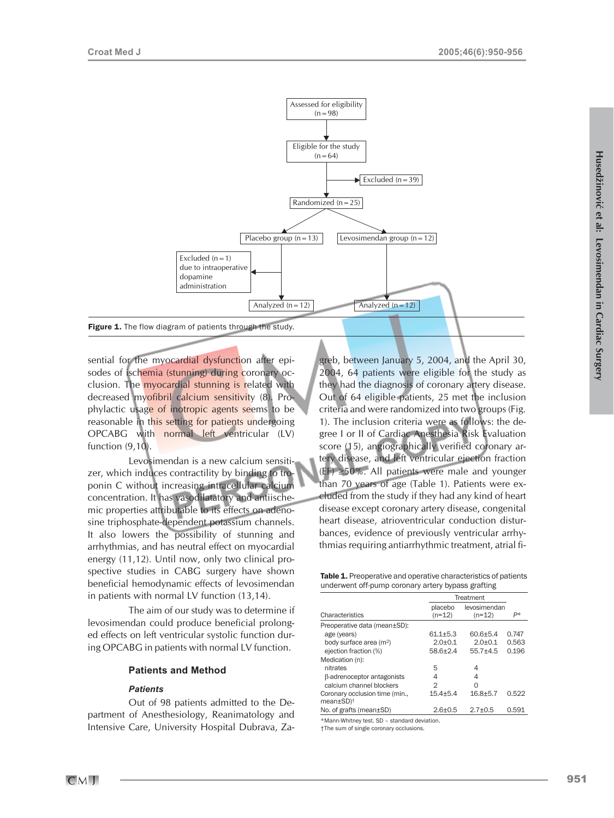



sential for the myocardial dysfunction after episodes of ischemia (stunning) during coronary occlusion. The myocardial stunning is related with decreased myofibril calcium sensitivity (8). Prophylactic usage of inotropic agents seems to be reasonable in this setting for patients undergoing OPCABG with normal left ventricular (LV) function (9,10).

Levosimendan is a new calcium sensitizer, which induces contractility by binding to troponin C without increasing intracellular calcium concentration. It has vasodilatatory and antiischemic properties attributable to its effects on adenosine triphosphate-dependent potassium channels. It also lowers the possibility of stunning and arrhythmias, and has neutral effect on myocardial energy (11,12). Until now, only two clinical prospective studies in CABG surgery have shown beneficial hemodynamic effects of levosimendan in patients with normal LV function (13,14).

The aim of our study was to determine if levosimendan could produce beneficial prolonged effects on left ventricular systolic function during OPCABG in patients with normal LV function.

### **Patients and Method**

### *Patients*

Out of 98 patients admitted to the Department of Anesthesiology, Reanimatology and Intensive Care, University Hospital Dubrava, Zagreb, between January 5, 2004, and the April 30, 2004, 64 patients were eligible for the study as they had the diagnosis of coronary artery disease. Out of 64 eligible patients, 25 met the inclusion criteria and were randomized into two groups (Fig. 1). The inclusion criteria were as follows: the degree I or II of Cardiac Anesthesia Risk Evaluation score (15), angiographically verified coronary artery disease, and left ventricular ejection fraction (EF)  $\geq$ 50%. All patients were male and younger than 70 years of age (Table 1). Patients were excluded from the study if they had any kind of heart disease except coronary artery disease, congenital heart disease, atrioventricular conduction disturbances, evidence of previously ventricular arrhythmias requiring antiarrhythmic treatment, atrial fi-

**Table 1.** Preoperative and operative characteristics of patients underwent off-pump coronary artery bypass grafting

|                                                       | Treatment           |                          |       |
|-------------------------------------------------------|---------------------|--------------------------|-------|
| Characteristics                                       | placebo<br>$(n=12)$ | levosimendan<br>$(n=12)$ | P*    |
| Preoperative data (mean±SD):                          |                     |                          |       |
| age (years)                                           | $61.1 + 5.3$        | 60.6+5.4                 | 0.747 |
| body surface area (m <sup>2</sup> )                   | $2.0 + 0.1$         | $2.0 + 0.1$              | 0.563 |
| ejection fraction (%)                                 | 58.6+2.4            | $55.7 + 4.5$             | 0.196 |
| Medication (n):                                       |                     |                          |       |
| nitrates                                              | 5                   | 4                        |       |
| β-adrenoceptor antagonists                            | 4                   | 4                        |       |
| calcium channel blockers                              | っ                   | O                        |       |
| Coronary occlusion time (min<br>mean±SD) <sup>†</sup> | $15.4 + 5.4$        | $16.8 + 5.7$             | 0.522 |
| No. of grafts (mean±SD)                               | $2.6 + 0.5$         | $2.7+0.5$                | 0.591 |

\*Mann-Whitney test. SD – standard deviation.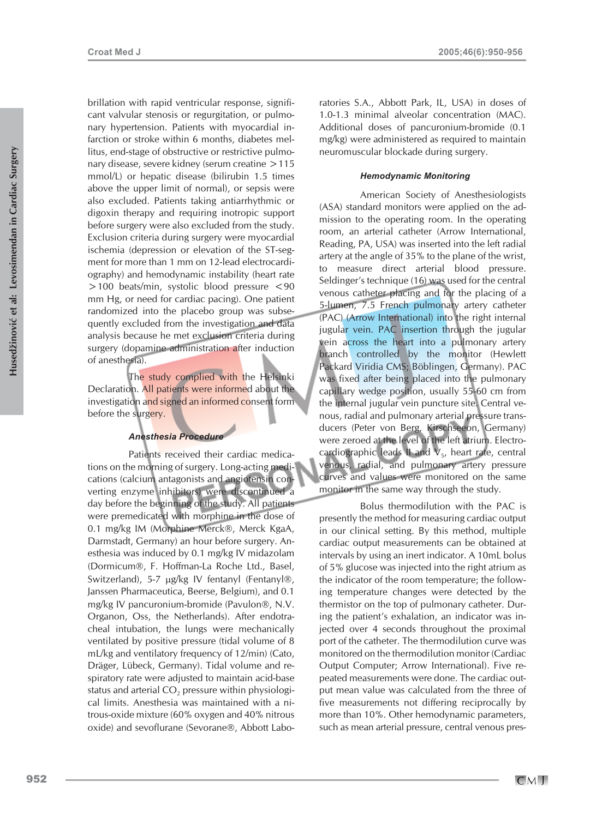brillation with rapid ventricular response, significant valvular stenosis or regurgitation, or pulmonary hypertension. Patients with myocardial infarction or stroke within 6 months, diabetes mellitus, end-stage of obstructive or restrictive pulmonary disease, severe kidney (serum creatine >115 mmol/L) or hepatic disease (bilirubin 1.5 times above the upper limit of normal), or sepsis were also excluded. Patients taking antiarrhythmic or digoxin therapy and requiring inotropic support before surgery were also excluded from the study. Exclusion criteria during surgery were myocardial ischemia (depression or elevation of the ST-segment for more than 1 mm on 12-lead electrocardiography) and hemodynamic instability (heart rate >100 beats/min, systolic blood pressure <90 mm Hg, or need for cardiac pacing). One patient randomized into the placebo group was subsequently excluded from the investigation and data analysis because he met exclusion criteria during surgery (dopamine administration after induction of anesthesia).

The study complied with the Helsinki Declaration. All patients were informed about the investigation and signed an informed consent form before the surgery.

### *Anesthesia Procedure*

Patients received their cardiac medications on the morning of surgery. Long-acting medications (calcium antagonists and angiotensin converting enzyme inhibitors) were discontinued a day before the beginning of the study. All patients were premedicated with morphine in the dose of 0.1 mg/kg IM (Morphine Merck®, Merck KgaA, Darmstadt, Germany) an hour before surgery. Anesthesia was induced by 0.1 mg/kg IV midazolam (Dormicum®, F. Hoffman-La Roche Ltd., Basel, Switzerland), 5-7 µg/kg IV fentanyl (Fentanyl®, Janssen Pharmaceutica, Beerse, Belgium), and 0.1 mg/kg IV pancuronium-bromide (Pavulon®, N.V. Organon, Oss, the Netherlands). After endotracheal intubation, the lungs were mechanically ventilated by positive pressure (tidal volume of 8 mL/kg and ventilatory frequency of 12/min) (Cato, Dräger, Lübeck, Germany). Tidal volume and respiratory rate were adjusted to maintain acid-base status and arterial  $CO<sub>2</sub>$  pressure within physiological limits. Anesthesia was maintained with a nitrous-oxide mixture (60% oxygen and 40% nitrous oxide) and sevoflurane (Sevorane®, Abbott Laboratories S.A., Abbott Park, IL, USA) in doses of 1.0-1.3 minimal alveolar concentration (MAC). Additional doses of pancuronium-bromide (0.1 mg/kg) were administered as required to maintain neuromuscular blockade during surgery.

#### *Hemodynamic Monitoring*

American Society of Anesthesiologists (ASA) standard monitors were applied on the admission to the operating room. In the operating room, an arterial catheter (Arrow International, Reading, PA, USA) was inserted into the left radial artery at the angle of 35% to the plane of the wrist, to measure direct arterial blood pressure. Seldinger's technique (16) was used for the central venous catheter placing and for the placing of a 5-lumen, 7.5 French pulmonary artery catheter (PAC) (Arrow International) into the right internal jugular vein. PAC insertion through the jugular vein across the heart into a pulmonary artery branch controlled by the monitor (Hewlett Packard Viridia CMS; Böblingen, Germany). PAC was fixed after being placed into the pulmonary capillary wedge position, usually 55-60 cm from the internal jugular vein puncture site. Central venous, radial and pulmonary arterial pressure transducers (Peter von Berg, Kirschseeon, Germany) were zeroed at the level of the left atrium. Electrocardiographic leads II and  $V<sub>5</sub>$ , heart rate, central venous, radial, and pulmonary artery pressure curves and values were monitored on the same monitor in the same way through the study.

Bolus thermodilution with the PAC is presently the method for measuring cardiac output in our clinical setting. By this method, multiple cardiac output measurements can be obtained at intervals by using an inert indicator. A 10mL bolus of 5% glucose was injected into the right atrium as the indicator of the room temperature; the following temperature changes were detected by the thermistor on the top of pulmonary catheter. During the patient's exhalation, an indicator was injected over 4 seconds throughout the proximal port of the catheter. The thermodilution curve was monitored on the thermodilution monitor (Cardiac Output Computer; Arrow International). Five repeated measurements were done. The cardiac output mean value was calculated from the three of five measurements not differing reciprocally by more than 10%. Other hemodynamic parameters, such as mean arterial pressure, central venous pres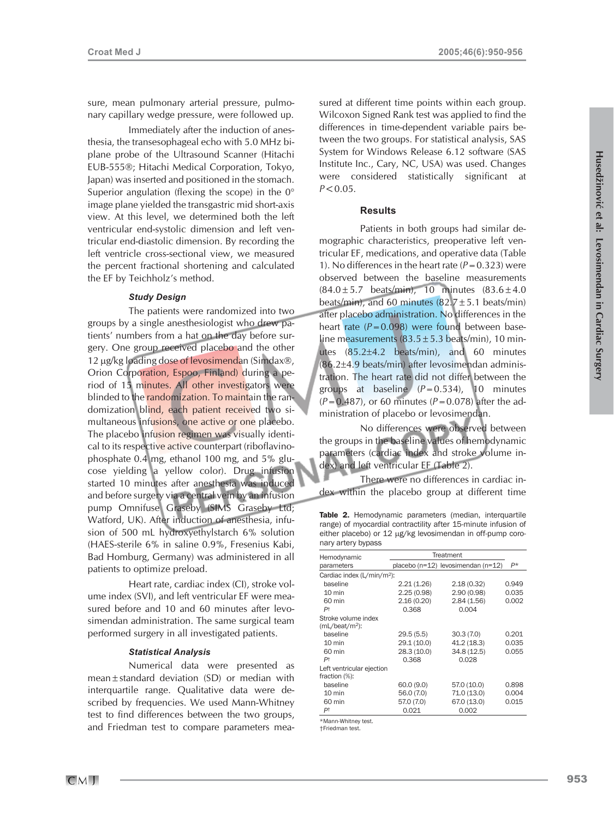sure, mean pulmonary arterial pressure, pulmonary capillary wedge pressure, were followed up.

Immediately after the induction of anesthesia, the transesophageal echo with 5.0 MHz biplane probe of the Ultrasound Scanner (Hitachi EUB-555®; Hitachi Medical Corporation, Tokyo, Japan) was inserted and positioned in the stomach. Superior angulation (flexing the scope) in the  $0^{\circ}$ image plane yielded the transgastric mid short-axis view. At this level, we determined both the left ventricular end-systolic dimension and left ventricular end-diastolic dimension. By recording the left ventricle cross-sectional view, we measured the percent fractional shortening and calculated the EF by Teichholz's method.

## *Study Design*

The patients were randomized into two groups by a single anesthesiologist who drew patients' numbers from a hat on the day before surgery. One group received placebo and the other 12  $\mu$ g/kg loading dose of levosimendan (Simdax®, Orion Corporation, Espoo, Finland) during a period of 15 minutes. All other investigators were blinded to the randomization. To maintain the randomization blind, each patient received two simultaneous infusions, one active or one placebo. The placebo infusion regimen was visually identical to its respective active counterpart (riboflavinophosphate 0.4 mg, ethanol 100 mg, and 5% glucose yielding a yellow color). Drug infusion started 10 minutes after anesthesia was induced and before surgery via a central vein by an infusion pump Omnifuse Graseby (SIMS Graseby Ltd; Watford, UK). After induction of anesthesia, infusion of 500 mL hydroxyethylstarch 6% solution (HAES-sterile 6% in saline 0.9%, Fresenius Kabi, Bad Homburg, Germany) was administered in all patients to optimize preload.

Heart rate, cardiac index (CI), stroke volume index (SVI), and left ventricular EF were measured before and 10 and 60 minutes after levosimendan administration. The same surgical team performed surgery in all investigated patients.

#### *Statistical Analysis*

Numerical data were presented as mean $±$ standard deviation (SD) or median with interquartile range. Qualitative data were described by frequencies. We used Mann-Whitney test to find differences between the two groups, and Friedman test to compare parameters measured at different time points within each group. Wilcoxon Signed Rank test was applied to find the differences in time-dependent variable pairs between the two groups. For statistical analysis, SAS System for Windows Release 6.12 software (SAS Institute Inc., Cary, NC, USA) was used. Changes were considered statistically significant at *P*<0.05.

#### **Results**

Patients in both groups had similar demographic characteristics, preoperative left ventricular EF, medications, and operative data (Table 1). No differences in the heart rate  $(P=0.323)$  were observed between the baseline measurements  $(84.0 \pm 5.7 \text{ beats/min})$ , 10 minutes  $(83.6 \pm 4.0 \text{ m})$ beats/min), and 60 minutes  $(82.7 \pm 5.1 \text{ beats/min})$ after placebo administration. No differences in the heart rate  $(P=0.098)$  were found between baseline measurements  $(83.5+5.3 \text{ beats/min})$ , 10 minutes  $(85.2 \pm 4.2 \text{ beats/min})$ , and 60 minutes  $(86.2\pm4.9$  beats/min) after levosimendan administration. The heart rate did not differ between the groups at baseline (*P*=0.534), 10 minutes  $(P = 0.487)$ , or 60 minutes  $(P = 0.078)$  after the administration of placebo or levosimendan.

No differences were observed between the groups in the baseline values of hemodynamic parameters (cardiac index and stroke volume index) and left ventricular EF (Table 2).

There were no differences in cardiac index within the placebo group at different time

**Table 2.** Hemodynamic parameters (median, interquartile range) of myocardial contractility after 15-minute infusion of either placebo) or 12 µg/kg levosimendan in off-pump coronary artery bypass

| Hemodynamic                                | Treatment   |                                    |       |
|--------------------------------------------|-------------|------------------------------------|-------|
| parameters                                 |             | placebo (n=12) levosimendan (n=12) | P*    |
| Cardiac index (L/min/m <sup>2</sup> ):     |             |                                    |       |
| baseline                                   | 2.21 (1.26) | 2.18(0.32)                         | 0.949 |
| 10 min                                     | 2.25(0.98)  | 2.90(0.98)                         | 0.035 |
| 60 min                                     | 2.16(0.20)  | 2.84(1.56)                         | 0.002 |
| Pt                                         | 0.368       | 0.004                              |       |
| Stroke volume index<br>$(mL/beat/m2)$ :    |             |                                    |       |
| baseline                                   | 29.5(5.5)   | 30.3(7.0)                          | 0.201 |
| 10 min                                     | 29.1 (10.0) | 41.2 (18.3)                        | 0.035 |
| 60 min                                     | 28.3 (10.0) | 34.8(12.5)                         | 0.055 |
| P <sup>†</sup>                             | 0.368       | 0.028                              |       |
| Left ventricular ejection<br>fraction (%): |             |                                    |       |
| baseline                                   | 60.0(9.0)   | 57.0 (10.0)                        | 0.898 |
| 10 min                                     | 56.0 (7.0)  | 71.0 (13.0)                        | 0.004 |
| 60 min                                     | 57.0 (7.0)  | 67.0 (13.0)                        | 0.015 |
| Pt                                         | 0.021       | 0.002                              |       |

**\***Mann-Whitney test. †Friedman test.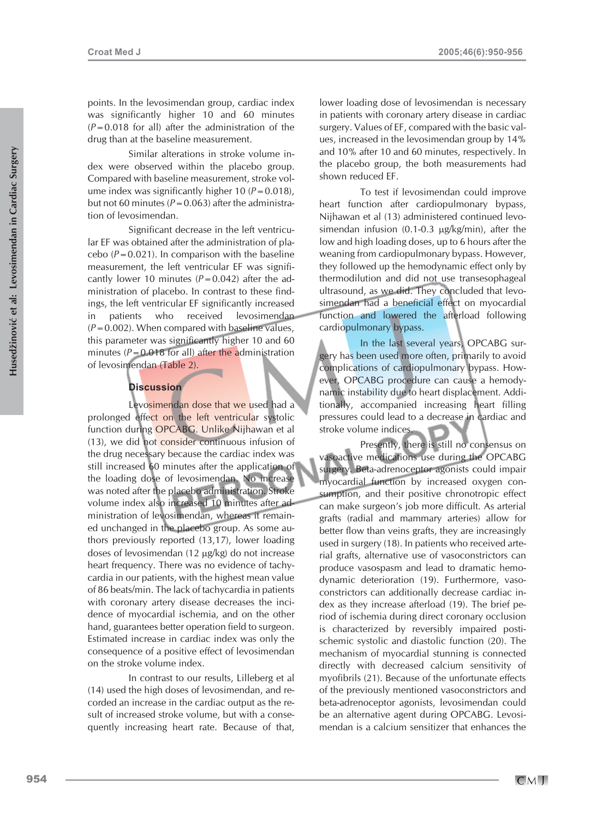points. In the levosimendan group, cardiac index was significantly higher 10 and 60 minutes  $(P=0.018$  for all) after the administration of the drug than at the baseline measurement.

Similar alterations in stroke volume index were observed within the placebo group. Compared with baseline measurement, stroke volume index was significantly higher  $10 (P = 0.018)$ . but not 60 minutes  $(P=0.063)$  after the administration of levosimendan.

Significant decrease in the left ventricular EF was obtained after the administration of placebo  $(P = 0.021)$ . In comparison with the baseline measurement, the left ventricular EF was significantly lower 10 minutes  $(P=0.042)$  after the administration of placebo. In contrast to these findings, the left ventricular EF significantly increased in patients who received levosimendan  $(P=0.002)$ . When compared with baseline values, this parameter was significantly higher 10 and 60 minutes  $(P=0.018$  for all) after the administration of levosimendan (Table 2).

## **Discussion**

Levosimendan dose that we used had a prolonged effect on the left ventricular systolic function during OPCABG. Unlike Nijhawan et al (13), we did not consider continuous infusion of the drug necessary because the cardiac index was still increased 60 minutes after the application of the loading dose of levosimendan. No increase was noted after the placebo administration. Stroke volume index also increased 10 minutes after administration of levosimendan, whereas it remained unchanged in the placebo group. As some authors previously reported (13,17), lower loading doses of levosimendan (12 µg/kg) do not increase heart frequency. There was no evidence of tachycardia in our patients, with the highest mean value of 86 beats/min. The lack of tachycardia in patients with coronary artery disease decreases the incidence of myocardial ischemia, and on the other hand, guarantees better operation field to surgeon. Estimated increase in cardiac index was only the consequence of a positive effect of levosimendan on the stroke volume index.

In contrast to our results, Lilleberg et al (14) used the high doses of levosimendan, and recorded an increase in the cardiac output as the result of increased stroke volume, but with a consequently increasing heart rate. Because of that,

lower loading dose of levosimendan is necessary in patients with coronary artery disease in cardiac surgery. Values of EF, compared with the basic values, increased in the levosimendan group by 14% and 10% after 10 and 60 minutes, respectively. In the placebo group, the both measurements had shown reduced EF.

To test if levosimendan could improve heart function after cardiopulmonary bypass, Nijhawan et al (13) administered continued levosimendan infusion (0.1-0.3 µg/kg/min), after the low and high loading doses, up to 6 hours after the weaning from cardiopulmonary bypass. However, they followed up the hemodynamic effect only by thermodilution and did not use transesophageal ultrasound, as we did. They concluded that levosimendan had a beneficial effect on myocardial function and lowered the afterload following cardiopulmonary bypass.

In the last several years, OPCABG surgery has been used more often, primarily to avoid complications of cardiopulmonary bypass. However, OPCABG procedure can cause a hemodynamic instability due to heart displacement. Additionally, accompanied increasing heart filling pressures could lead to a decrease in cardiac and stroke volume indices.

Presently, there is still no consensus on vasoactive medications use during the OPCABG surgery. Beta-adrenoceptor agonists could impair myocardial function by increased oxygen consumption, and their positive chronotropic effect can make surgeon's job more difficult. As arterial grafts (radial and mammary arteries) allow for better flow than veins grafts, they are increasingly used in surgery (18). In patients who received arterial grafts, alternative use of vasoconstrictors can produce vasospasm and lead to dramatic hemodynamic deterioration (19). Furthermore, vasoconstrictors can additionally decrease cardiac index as they increase afterload (19). The brief period of ischemia during direct coronary occlusion is characterized by reversibly impaired postischemic systolic and diastolic function (20). The mechanism of myocardial stunning is connected directly with decreased calcium sensitivity of myofibrils (21). Because of the unfortunate effects of the previously mentioned vasoconstrictors and beta-adrenoceptor agonists, levosimendan could be an alternative agent during OPCABG. Levosimendan is a calcium sensitizer that enhances the

954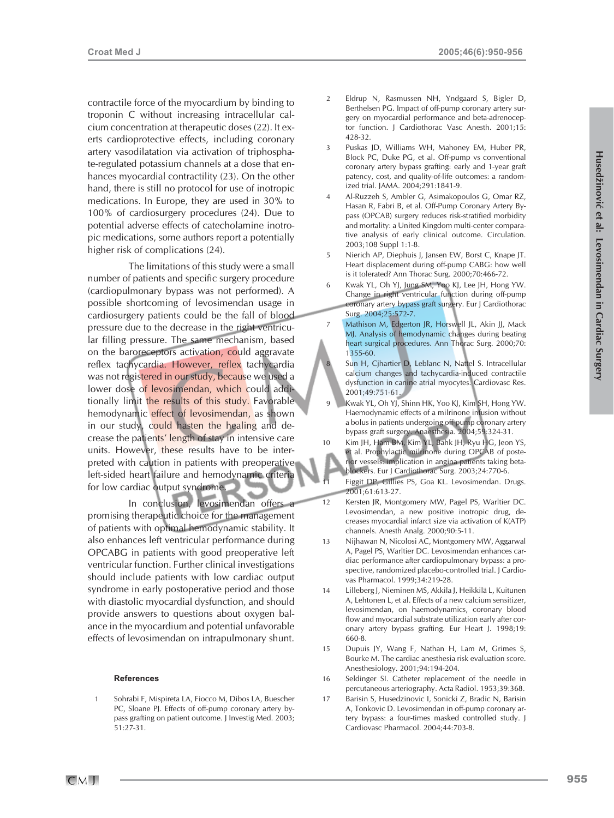contractile force of the myocardium by binding to troponin C without increasing intracellular calcium concentration at therapeutic doses (22). It exerts cardioprotective effects, including coronary artery vasodilatation via activation of triphosphate-regulated potassium channels at a dose that enhances myocardial contractility (23). On the other hand, there is still no protocol for use of inotropic medications. In Europe, they are used in 30% to 100% of cardiosurgery procedures (24). Due to potential adverse effects of catecholamine inotropic medications, some authors report a potentially higher risk of complications (24).

The limitations of this study were a small number of patients and specific surgery procedure (cardiopulmonary bypass was not performed). A possible shortcoming of levosimendan usage in cardiosurgery patients could be the fall of blood pressure due to the decrease in the right ventricular filling pressure. The same mechanism, based on the baroreceptors activation, could aggravate reflex tachycardia. However, reflex tachycardia was not registered in our study, because we used a lower dose of levosimendan, which could additionally limit the results of this study. Favorable hemodynamic effect of levosimendan, as shown in our study, could hasten the healing and decrease the patients' length of stay in intensive care units. However, these results have to be interpreted with caution in patients with preoperative left-sided heart failure and hemodynamic criteria for low cardiac output syndrome.

In conclusion, levosimendan offers a promising therapeutic choice for the management of patients with optimal hemodynamic stability. It also enhances left ventricular performance during OPCABG in patients with good preoperative left ventricular function. Further clinical investigations should include patients with low cardiac output syndrome in early postoperative period and those with diastolic myocardial dysfunction, and should provide answers to questions about oxygen balance in the myocardium and potential unfavorable effects of levosimendan on intrapulmonary shunt.

#### **References**

1 Sohrabi F, Mispireta LA, Fiocco M, Dibos LA, Buescher PC, Sloane PJ. Effects of off-pump coronary artery bypass grafting on patient outcome. J Investig Med. 2003; 51:27-31.

- 2 Eldrup N, Rasmussen NH, Yndgaard S, Bigler D, Berthelsen PG. Impact of off-pump coronary artery surgery on myocardial performance and beta-adrenoceptor function. J Cardiothorac Vasc Anesth. 2001;15: 428-32.
- 3 Puskas JD, Williams WH, Mahoney EM, Huber PR, Block PC, Duke PG, et al. Off-pump vs conventional coronary artery bypass grafting: early and 1-year graft patency, cost, and quality-of-life outcomes: a randomized trial. JAMA. 2004;291:1841-9.
- 4 Al-Ruzzeh S, Ambler G, Asimakopoulos G, Omar RZ, Hasan R, Fabri B, et al. Off-Pump Coronary Artery Bypass (OPCAB) surgery reduces risk-stratified morbidity and mortality: a United Kingdom multi-center comparative analysis of early clinical outcome. Circulation. 2003;108 Suppl 1:1-8.
- Nierich AP, Diephuis J, Jansen EW, Borst C, Knape JT. Heart displacement during off-pump CABG: how well is it tolerated? Ann Thorac Surg. 2000;70:466-72.
- 6 Kwak YL, Oh YJ, Jung SM, Yoo KJ, Lee JH, Hong YW. Change in right ventricular function during off-pump coronary artery bypass graft surgery. Eur J Cardiothorac Surg. 2004;25:572-7.
- Mathison M, Edgerton JR, Horswell JL, Akin JJ, Mack MJ. Analysis of hemodynamic changes during beating heart surgical procedures. Ann Thorac Surg. 2000;70: 1355-60.
- Sun H, Cihartier D, Leblanc N, Nattel S, Intracellular calcium changes and tachycardia-induced contractile dysfunction in canine atrial myocytes. Cardiovasc Res. 2001;49:751-61.
- Kwak YL, Oh YL, Shinn HK, Yoo KL, Kim SH, Hong YW. Haemodynamic effects of a milrinone infusion without a bolus in patients undergoing off-pump coronary artery bypass graft surgery. Anaesthesia. 2004;59:324-31.
- 10 Kim JH, Ham BM, Kim YL, Bahk JH, Ryu HG, Jeon YS, et al. Prophylactic milrinone during OPCAB of posterior vessels: implication in angina patients taking betablockers. Eur J Cardiothorac Surg. 2003;24:770-6.
- 11 Figgit DP, Gillies PS, Goa KL. Levosimendan. Drugs. 2001;61:613-27.
- 12 Kersten JR, Montgomery MW, Pagel PS, Warltier DC. Levosimendan, a new positive inotropic drug, decreases myocardial infarct size via activation of K(ATP) channels. Anesth Analg. 2000;90:5-11.
- 13 Nijhawan N, Nicolosi AC, Montgomery MW, Aggarwal A, Pagel PS, Warltier DC. Levosimendan enhances cardiac performance after cardiopulmonary bypass: a prospective, randomized placebo-controlled trial. J Cardiovas Pharmacol. 1999;34:219-28.
- 14 Lilleberg J, Nieminen MS, Akkila J, Heikkilä L, Kuitunen A, Lehtonen L, et al. Effects of a new calcium sensitizer, levosimendan, on haemodynamics, coronary blood flow and myocardial substrate utilization early after coronary artery bypass grafting. Eur Heart J. 1998;19: 660-8.
- 15 Dupuis JY, Wang F, Nathan H, Lam M, Grimes S, Bourke M. The cardiac anesthesia risk evaluation score. Anesthesiology. 2001;94:194-204.
- 16 Seldinger SI. Catheter replacement of the needle in percutaneous arteriography. Acta Radiol. 1953;39:368.
- 17 Barisin S, Husedzinovic I, Sonicki Z, Bradic N, Barisin A, Tonkovic D. Levosimendan in off-pump coronary artery bypass: a four-times masked controlled study. J Cardiovasc Pharmacol. 2004;44:703-8.

 $CMI$